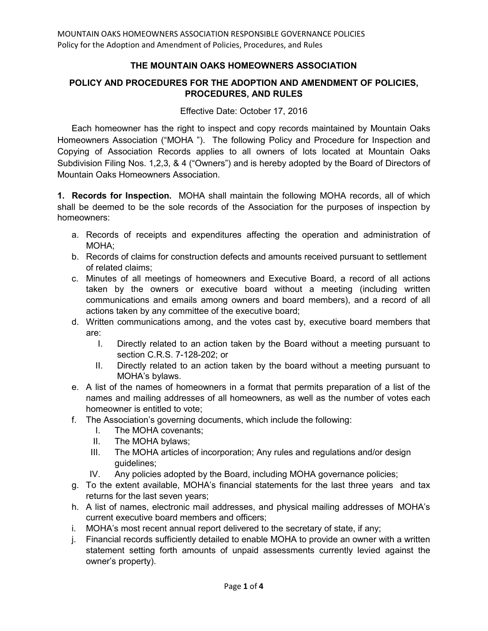## **THE MOUNTAIN OAKS HOMEOWNERS ASSOCIATION**

## **POLICY AND PROCEDURES FOR THE ADOPTION AND AMENDMENT OF POLICIES, PROCEDURES, AND RULES**

Effective Date: October 17, 2016

Each homeowner has the right to inspect and copy records maintained by Mountain Oaks Homeowners Association ("MOHA "). The following Policy and Procedure for Inspection and Copying of Association Records applies to all owners of lots located at Mountain Oaks Subdivision Filing Nos. 1,2,3, & 4 ("Owners") and is hereby adopted by the Board of Directors of Mountain Oaks Homeowners Association.

**1. Records for Inspection.** MOHA shall maintain the following MOHA records, all of which shall be deemed to be the sole records of the Association for the purposes of inspection by homeowners:

- a. Records of receipts and expenditures affecting the operation and administration of MOHA;
- b. Records of claims for construction defects and amounts received pursuant to settlement of related claims;
- c. Minutes of all meetings of homeowners and Executive Board, a record of all actions taken by the owners or executive board without a meeting (including written communications and emails among owners and board members), and a record of all actions taken by any committee of the executive board;
- d. Written communications among, and the votes cast by, executive board members that are:
	- I. Directly related to an action taken by the Board without a meeting pursuant to section C.R.S. 7-128-202; or
	- II. Directly related to an action taken by the board without a meeting pursuant to MOHA's bylaws.
- e. A list of the names of homeowners in a format that permits preparation of a list of the names and mailing addresses of all homeowners, as well as the number of votes each homeowner is entitled to vote;
- f. The Association's governing documents, which include the following:
	- I. The MOHA covenants;
	- II. The MOHA bylaws;
	- III. The MOHA articles of incorporation; Any rules and regulations and/or design guidelines;
	- IV. Any policies adopted by the Board, including MOHA governance policies;
- g. To the extent available, MOHA's financial statements for the last three years and tax returns for the last seven years;
- h. A list of names, electronic mail addresses, and physical mailing addresses of MOHA's current executive board members and officers;
- i. MOHA's most recent annual report delivered to the secretary of state, if any;
- j. Financial records sufficiently detailed to enable MOHA to provide an owner with a written statement setting forth amounts of unpaid assessments currently levied against the owner's property).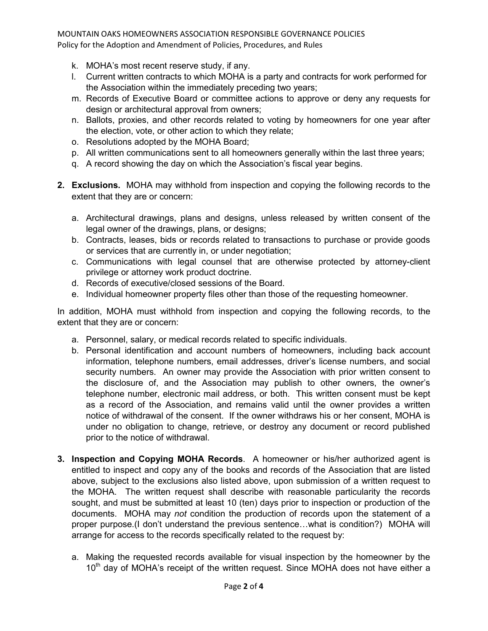- k. MOHA's most recent reserve study, if any.
- l. Current written contracts to which MOHA is a party and contracts for work performed for the Association within the immediately preceding two years;
- m. Records of Executive Board or committee actions to approve or deny any requests for design or architectural approval from owners;
- n. Ballots, proxies, and other records related to voting by homeowners for one year after the election, vote, or other action to which they relate;
- o. Resolutions adopted by the MOHA Board;
- p. All written communications sent to all homeowners generally within the last three years;
- q. A record showing the day on which the Association's fiscal year begins.
- **2. Exclusions.** MOHA may withhold from inspection and copying the following records to the extent that they are or concern:
	- a. Architectural drawings, plans and designs, unless released by written consent of the legal owner of the drawings, plans, or designs;
	- b. Contracts, leases, bids or records related to transactions to purchase or provide goods or services that are currently in, or under negotiation;
	- c. Communications with legal counsel that are otherwise protected by attorney-client privilege or attorney work product doctrine.
	- d. Records of executive/closed sessions of the Board.
	- e. Individual homeowner property files other than those of the requesting homeowner.

In addition, MOHA must withhold from inspection and copying the following records, to the extent that they are or concern:

- a. Personnel, salary, or medical records related to specific individuals.
- b. Personal identification and account numbers of homeowners, including back account information, telephone numbers, email addresses, driver's license numbers, and social security numbers. An owner may provide the Association with prior written consent to the disclosure of, and the Association may publish to other owners, the owner's telephone number, electronic mail address, or both. This written consent must be kept as a record of the Association, and remains valid until the owner provides a written notice of withdrawal of the consent. If the owner withdraws his or her consent, MOHA is under no obligation to change, retrieve, or destroy any document or record published prior to the notice of withdrawal.
- **3. Inspection and Copying MOHA Records**. A homeowner or his/her authorized agent is entitled to inspect and copy any of the books and records of the Association that are listed above, subject to the exclusions also listed above, upon submission of a written request to the MOHA. The written request shall describe with reasonable particularity the records sought, and must be submitted at least 10 (ten) days prior to inspection or production of the documents. MOHA may *not* condition the production of records upon the statement of a proper purpose.(I don't understand the previous sentence…what is condition?) MOHA will arrange for access to the records specifically related to the request by:
	- a. Making the requested records available for visual inspection by the homeowner by the 10<sup>th</sup> day of MOHA's receipt of the written request. Since MOHA does not have either a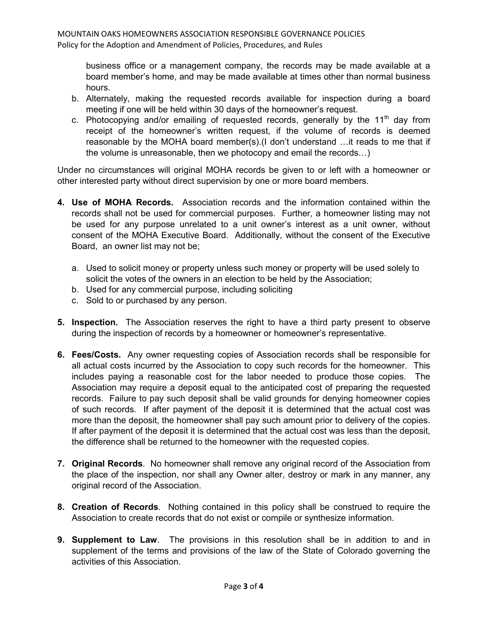business office or a management company, the records may be made available at a board member's home, and may be made available at times other than normal business hours.

- b. Alternately, making the requested records available for inspection during a board meeting if one will be held within 30 days of the homeowner's request.
- c. Photocopying and/or emailing of requested records, generally by the  $11<sup>th</sup>$  day from receipt of the homeowner's written request, if the volume of records is deemed reasonable by the MOHA board member(s).(I don't understand …it reads to me that if the volume is unreasonable, then we photocopy and email the records…)

Under no circumstances will original MOHA records be given to or left with a homeowner or other interested party without direct supervision by one or more board members.

- **4. Use of MOHA Records.** Association records and the information contained within the records shall not be used for commercial purposes. Further, a homeowner listing may not be used for any purpose unrelated to a unit owner's interest as a unit owner, without consent of the MOHA Executive Board. Additionally, without the consent of the Executive Board, an owner list may not be;
	- a. Used to solicit money or property unless such money or property will be used solely to solicit the votes of the owners in an election to be held by the Association;
	- b. Used for any commercial purpose, including soliciting
	- c. Sold to or purchased by any person.
- **5. Inspection.** The Association reserves the right to have a third party present to observe during the inspection of records by a homeowner or homeowner's representative.
- **6. Fees/Costs.** Any owner requesting copies of Association records shall be responsible for all actual costs incurred by the Association to copy such records for the homeowner. This includes paying a reasonable cost for the labor needed to produce those copies. The Association may require a deposit equal to the anticipated cost of preparing the requested records. Failure to pay such deposit shall be valid grounds for denying homeowner copies of such records. If after payment of the deposit it is determined that the actual cost was more than the deposit, the homeowner shall pay such amount prior to delivery of the copies. If after payment of the deposit it is determined that the actual cost was less than the deposit, the difference shall be returned to the homeowner with the requested copies.
- **7. Original Records**. No homeowner shall remove any original record of the Association from the place of the inspection, nor shall any Owner alter, destroy or mark in any manner, any original record of the Association.
- **8. Creation of Records**. Nothing contained in this policy shall be construed to require the Association to create records that do not exist or compile or synthesize information.
- **9. Supplement to Law**. The provisions in this resolution shall be in addition to and in supplement of the terms and provisions of the law of the State of Colorado governing the activities of this Association.